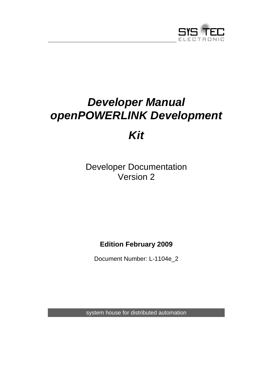

# **Developer Manual openPOWERLINK Development Kit**

Developer Documentation Version 2

**Edition February 2009** 

Document Number: L-1104e\_2

system house for distributed automation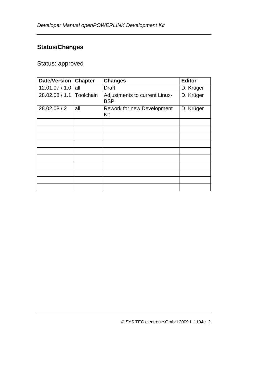## **Status/Changes**

## Status: approved

| <b>Date/Version</b> | <b>Chapter</b> | <b>Changes</b>                                     | <b>Editor</b> |
|---------------------|----------------|----------------------------------------------------|---------------|
| 12.01.07 / 1.0      | all            | <b>Draft</b>                                       | D. Krüger     |
| 28.02.08 / 1.1      | Toolchain      | <b>Adjustments to current Linux-</b><br><b>BSP</b> | D. Krüger     |
| 28.02.08 / 2        | all            | <b>Rework for new Development</b><br>Kit           | D. Krüger     |
|                     |                |                                                    |               |
|                     |                |                                                    |               |
|                     |                |                                                    |               |
|                     |                |                                                    |               |
|                     |                |                                                    |               |
|                     |                |                                                    |               |
|                     |                |                                                    |               |
|                     |                |                                                    |               |
|                     |                |                                                    |               |
|                     |                |                                                    |               |

© SYS TEC electronic GmbH 2009 L-1104e\_2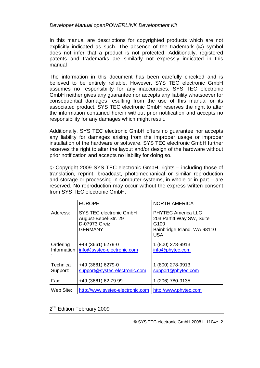In this manual are descriptions for copyrighted products which are not explicitly indicated as such. The absence of the trademark  $(\circ)$  symbol does not infer that a product is not protected. Additionally, registered patents and trademarks are similarly not expressly indicated in this manual

The information in this document has been carefully checked and is believed to be entirely reliable. However, SYS TEC electronic GmbH assumes no responsibility for any inaccuracies. SYS TEC electronic GmbH neither gives any guarantee nor accepts any liability whatsoever for consequential damages resulting from the use of this manual or its associated product. SYS TEC electronic GmbH reserves the right to alter the information contained herein without prior notification and accepts no responsibility for any damages which might result.

Additionally, SYS TEC electronic GmbH offers no guarantee nor accepts any liability for damages arising from the improper usage or improper installation of the hardware or software. SYS TEC electronic GmbH further reserves the right to alter the layout and/or design of the hardware without prior notification and accepts no liability for doing so.

 Copyright 2009 SYS TEC electronic GmbH. rights – including those of translation, reprint, broadcast, photomechanical or similar reproduction and storage or processing in computer systems, in whole or in part – are reserved. No reproduction may occur without the express written consent from SYS TEC electronic GmbH.

|                         | <b>EUROPE</b>                                                                             | <b>NORTH AMERICA</b>                                                                                                    |
|-------------------------|-------------------------------------------------------------------------------------------|-------------------------------------------------------------------------------------------------------------------------|
| Address:                | <b>SYS TEC electronic GmbH</b><br>August-Bebel-Str. 29<br>D-07973 Greiz<br><b>GERMANY</b> | <b>PHYTEC America LLC</b><br>203 Parfitt Way SW, Suite<br>G <sub>100</sub><br>Bainbridge Island, WA 98110<br><b>USA</b> |
| Ordering<br>Information | +49 (3661) 6279-0<br>info@systec-electronic.com                                           | 1 (800) 278-9913<br>info@phytec.com                                                                                     |
| Technical<br>Support:   | +49 (3661) 6279-0<br>support@systec-electronic.com                                        | 1 (800) 278-9913<br>support@phytec.com                                                                                  |
| Fax:                    | +49 (3661) 62 79 99                                                                       | 1 (206) 780-9135                                                                                                        |
| Web Site:               | http://www.systec-electronic.com                                                          | http://www.phytec.com                                                                                                   |

2<sup>nd</sup> Edition February 2009

SYS TEC electronic GmbH 2008 L-1104e\_2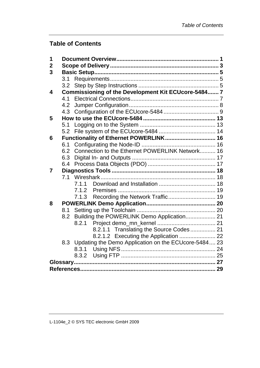## **Table of Contents**

| 1            |     |       |                                                          |  |
|--------------|-----|-------|----------------------------------------------------------|--|
| $\mathbf{2}$ |     |       |                                                          |  |
| 3            |     |       |                                                          |  |
|              | 3.1 |       |                                                          |  |
|              |     |       |                                                          |  |
| 4            |     |       | Commissioning of the Development Kit ECUcore-5484 7      |  |
|              |     |       |                                                          |  |
|              | 4.2 |       |                                                          |  |
|              |     |       |                                                          |  |
| 5            |     |       |                                                          |  |
|              | 5.1 |       |                                                          |  |
|              | 5.2 |       |                                                          |  |
| 6            |     |       | Functionality of Ethernet POWERLINK 16                   |  |
|              | 6.1 |       |                                                          |  |
|              | 6.2 |       | Connection to the Ethernet POWERLINK Network 16          |  |
|              | 6.3 |       |                                                          |  |
|              |     |       |                                                          |  |
| 7            |     |       |                                                          |  |
|              |     |       |                                                          |  |
|              |     | 7.1.1 |                                                          |  |
|              |     | 7.1.2 |                                                          |  |
|              |     | 7.1.3 |                                                          |  |
| 8            |     |       |                                                          |  |
|              | 8.1 |       |                                                          |  |
|              | 8.2 |       | Building the POWERLINK Demo Application 21               |  |
|              |     | 8.2.1 |                                                          |  |
|              |     |       | 8.2.1.1 Translating the Source Codes 21                  |  |
|              |     |       | 8.2.1.2 Executing the Application  22                    |  |
|              |     |       | 8.3 Updating the Demo Application on the ECUcore-5484 23 |  |
|              |     |       |                                                          |  |
|              |     |       |                                                          |  |
|              |     |       |                                                          |  |
|              |     |       |                                                          |  |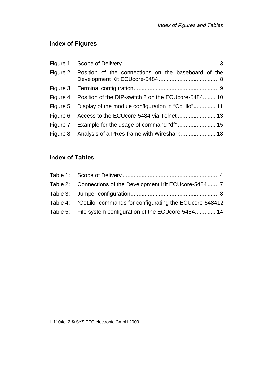## **Index of Figures**

| Figure 2: Position of the connections on the baseboard of the  |
|----------------------------------------------------------------|
|                                                                |
| Figure 4: Position of the DIP-switch 2 on the ECU core-5484 10 |
| Figure 5: Display of the module configuration in "CoLilo" 11   |
|                                                                |
|                                                                |
|                                                                |
|                                                                |

## **Index of Tables**

| Table 2: Connections of the Development Kit ECUcore-5484  7     |
|-----------------------------------------------------------------|
|                                                                 |
| Table 4: "CoLilo" commands for configurating the ECUcore-548412 |
| Table 5: File system configuration of the ECU core-5484 14      |
|                                                                 |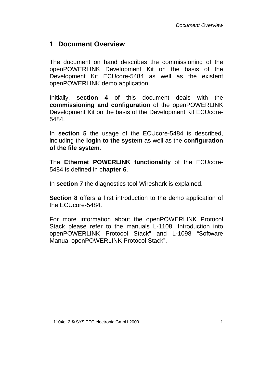#### **1 Document Overview**

The document on hand describes the commissioning of the openPOWERLINK Development Kit on the basis of the Development Kit ECUcore-5484 as well as the existent openPOWERLINK demo application.

Initially, **section 4** of this document deals with the **commissioning and configuration** of the openPOWERLINK Development Kit on the basis of the Development Kit ECUcore-5484.

In **section 5** the usage of the ECUcore-5484 is described, including the **login to the system** as well as the **configuration of the file system**.

The **Ethernet POWERLINK functionality** of the ECUcore-5484 is defined in c**hapter 6**.

In **section 7** the diagnostics tool Wireshark is explained.

**Section 8** offers a first introduction to the demo application of the ECUcore-5484.

For more information about the openPOWERLINK Protocol Stack please refer to the manuals L-1108 "Introduction into openPOWERLINK Protocol Stack" and L-1098 "Software Manual openPOWERLINK Protocol Stack".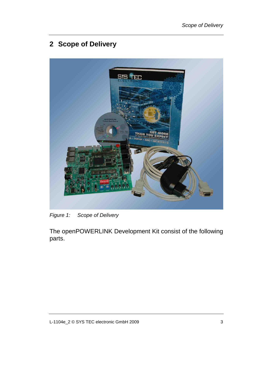# **2 Scope of Delivery**



Figure 1: Scope of Delivery

The openPOWERLINK Development Kit consist of the following parts.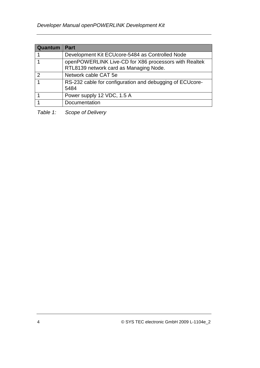| Quantum | <b>Part</b>                                                                                     |
|---------|-------------------------------------------------------------------------------------------------|
|         | Development Kit ECUcore-5484 as Controlled Node                                                 |
|         | openPOWERLINK Live-CD for X86 processors with Realtek<br>RTL8139 network card as Managing Node. |
| 2       | Network cable CAT 5e                                                                            |
|         | RS-232 cable for configuration and debugging of ECUcore-<br>5484                                |
|         | Power supply 12 VDC, 1.5 A                                                                      |
|         | Documentation                                                                                   |

Table 1: Scope of Delivery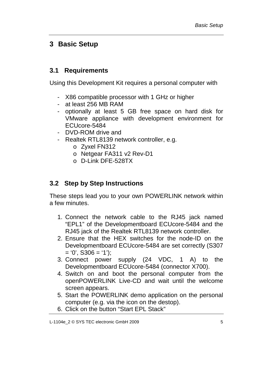## **3 Basic Setup**

#### **3.1 Requirements**

Using this Development Kit requires a personal computer with

- X86 compatible processor with 1 GHz or higher
- at least 256 MB RAM
- optionally at least 5 GB free space on hard disk for VMware appliance with development environment for ECUcore-5484
- DVD-ROM drive and
- Realtek RTL8139 network controller, e.g.
	- o Zyxel FN312
	- o Netgear FA311 v2 Rev-D1
	- o D-Link DFE-528TX

#### **3.2 Step by Step Instructions**

These steps lead you to your own POWERLINK network within a few minutes.

- 1. Connect the network cable to the RJ45 jack named "EPL1" of the Developmentboard ECUcore-5484 and the RJ45 jack of the Realtek RTL8139 network controller.
- 2. Ensure that the HEX switches for the node-ID on the Developmentboard ECUcore-5484 are set correctly (S307  $=$  '0', S306 = '1');
- 3. Connect power supply (24 VDC, 1 A) to the Developmentboard ECUcore-5484 (connector X700).
- 4. Switch on and boot the personal computer from the openPOWERLINK Live-CD and wait until the welcome screen appears.
- 5. Start the POWERLINK demo application on the personal computer (e.g. via the icon on the destop).
- 6. Click on the button "Start EPL Stack"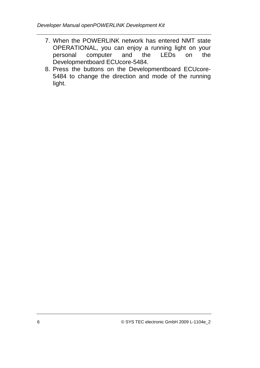- 7. When the POWERLINK network has entered NMT state OPERATIONAL, you can enjoy a running light on your personal computer and the LEDs on the Developmentboard ECUcore-5484.
- 8. Press the buttons on the Developmentboard ECUcore-5484 to change the direction and mode of the running light.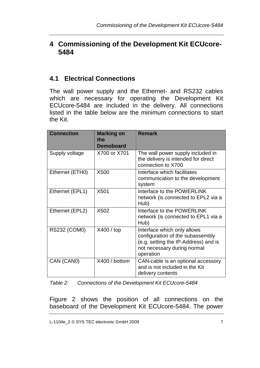## **4 Commissioning of the Development Kit ECUcore-5484**

## **4.1 Electrical Connections**

The wall power supply and the Ethernet- and RS232 cables which are necessary for operating the Development Kit ECUcore-5484 are included in the delivery. All connections listed in the table below are the minimum connections to start the Kit.

| <b>Connection</b>   | <b>Marking on</b><br>the<br><b>Demoboard</b> | <b>Remark</b>                                                                                                                                       |
|---------------------|----------------------------------------------|-----------------------------------------------------------------------------------------------------------------------------------------------------|
| Supply voltage      | X700 or X701                                 | The wall power supply included in<br>the delivery is intended for direct<br>connection to X700                                                      |
| Ethernet (ETH0)     | X500                                         | Interface which facilitates<br>communication to the development<br>system                                                                           |
| Ethernet (EPL1)     | X501                                         | Interface to the POWERLINK<br>network (is connected to EPL2 via a<br>Hub)                                                                           |
| Ethernet (EPL2)     | X502                                         | Interface to the POWERLINK<br>network (is connected to EPL1 via a<br>Hub)                                                                           |
| <b>RS232 (COM0)</b> | X400 / top                                   | Interface which only allows<br>configuration of the subassembly<br>(e.g. setting the IP-Address) and is<br>not necessary during normal<br>operation |
| CAN (CANO)          | X400 / bottom                                | CAN-cable is an optional accessory<br>and is not included in the Kit<br>delivery contents                                                           |

Table 2: Connections of the Development Kit ECUcore-5484

Figure 2 shows the position of all connections on the baseboard of the Development Kit ECUcore-5484. The power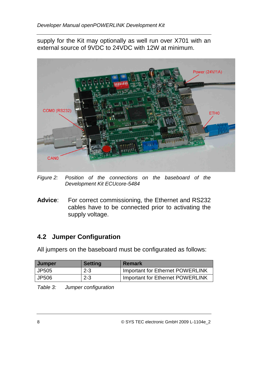supply for the Kit may optionally as well run over X701 with an external source of 9VDC to 24VDC with 12W at minimum.



Figure 2: Position of the connections on the baseboard of the Development Kit ECUcore-5484

**Advice**: For correct commissioning, the Ethernet and RS232 cables have to be connected prior to activating the supply voltage.

## **4.2 Jumper Configuration**

All jumpers on the baseboard must be configurated as follows:

| <b>Jumper</b> | <b>Setting</b> | <b>Remark</b>                    |
|---------------|----------------|----------------------------------|
| JP505         | $2 - 3$        | Inportant for Ethernet POWERLINK |
| JP506         | $2 - 3$        | Inportant for Ethernet POWERLINK |

Table 3: Jumper configuration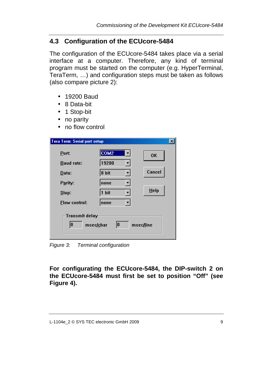#### **4.3 Configuration of the ECUcore-5484**

The configuration of the ECUcore-5484 takes place via a serial interface at a computer. Therefore, any kind of terminal program must be started on the computer (e.g. HyperTerminal, TeraTerm, …) and configuration steps must be taken as follows (also compare picture 2):

- 19200 Baud
- 8 Data-bit
- 1 Stop-bit
- no parity
- no flow control

| Tera Term: Serial port setup                                |                  |        |  |  |
|-------------------------------------------------------------|------------------|--------|--|--|
| Port:                                                       | COM <sub>2</sub> | OK     |  |  |
| <b>Baud rate:</b>                                           | 19200            |        |  |  |
| Data:                                                       | 8 bit            | Cancel |  |  |
| Parity:                                                     | none             |        |  |  |
| $Stop$ :                                                    | 1 bit            | Help   |  |  |
| Flow control:                                               | none             |        |  |  |
| <b>Transmit delay</b><br>10<br>10<br>msec/char<br>msec/line |                  |        |  |  |

Figure 3: Terminal configuration

**For configurating the ECUcore-5484, the DIP-switch 2 on the ECUcore-5484 must first be set to position "Off" (see Figure 4).**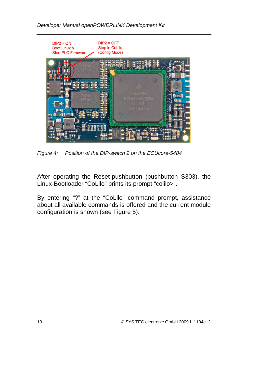

Figure 4: Position of the DIP-switch 2 on the ECUcore-5484

After operating the Reset-pushbutton (pushbutton S303), the Linux-Bootloader "CoLilo" prints its prompt "colilo>".

By entering "?" at the "CoLilo" command prompt, assistance about all available commands is offered and the current module configuration is shown (see Figure 5).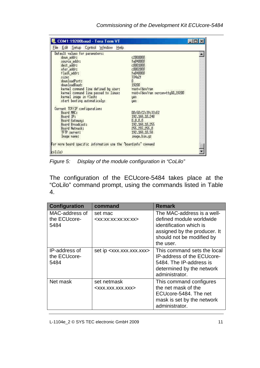| COM1:19200baud - Tera Term VT                                                                                                                                                                                                                                                                   |                                                                                                                                                      |  |
|-------------------------------------------------------------------------------------------------------------------------------------------------------------------------------------------------------------------------------------------------------------------------------------------------|------------------------------------------------------------------------------------------------------------------------------------------------------|--|
| File Edit Setup Control Window<br>Help                                                                                                                                                                                                                                                          |                                                                                                                                                      |  |
| Default values for paramaters:<br>down addr:<br>source addr:<br>dest addr:<br>xfer addr:<br>flash_addr:<br>$s$ ize:<br>dounloadPort:<br>doun loadBaud:<br>kernel connand line defined by user:<br>kernel connand line passed to linux:<br>kernel inage in flash:<br>start booting automaticaly: | c2000000<br>fe040000<br>c0001000<br>c0002000<br>fe040000<br>334a2f<br>H<br>19200<br>root=/dev/ran<br>root=/dew/ran sercon=ttySD,19200<br>ues<br>yes: |  |
| Current TCP/IP configuration:<br>Board HAC:<br>Board IP:<br>Board Gateway:<br>Board Broadcast:<br>Board Netnask:<br><b>IFTP</b> server:<br>Inage nane:                                                                                                                                          | 00:50:C2:39:33:E2<br>192, 168, 10, 248<br>0.0.0.0<br>192.168.10.255<br>255, 255, 255, 0<br>192, 168, 10, 58<br>inage.bin.gz                          |  |
| For nore board specific information use the 'boardinfo' connand<br>colilo>                                                                                                                                                                                                                      |                                                                                                                                                      |  |

Figure 5: Display of the module configuration in "CoLilo"

The configuration of the ECUcore-5484 takes place at the "CoLilo" command prompt, using the commands listed in Table 4.

| Configuration                          | command                                            | <b>Remark</b>                                                                                                                                               |
|----------------------------------------|----------------------------------------------------|-------------------------------------------------------------------------------------------------------------------------------------------------------------|
| MAC-address of<br>the ECUcore-<br>5484 | set mac<br><xx:xx:xx:xx:xx:xx></xx:xx:xx:xx:xx:xx> | The MAC-address is a well-<br>defined module worldwide<br>identification which is<br>assigned by the producer. It<br>should not be modified by<br>the user. |
| IP-address of<br>the ECUcore-<br>5484  | set ip <xxx.xxx.xxx.xxx></xxx.xxx.xxx.xxx>         | This command sets the local<br><b>IP-address of the ECUcore-</b><br>5484. The IP-address is<br>determined by the network<br>administrator.                  |
| Net mask                               | set netmask<br>$<$ XXX.XXX.XXX.XXX $>$             | This command configures<br>the net mask of the<br>ECUcore-5484. The net<br>mask is set by the network<br>administrator.                                     |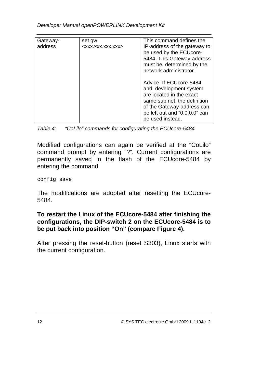| Gateway- | set gw                              | This command defines the                                                                                                                                                                         |
|----------|-------------------------------------|--------------------------------------------------------------------------------------------------------------------------------------------------------------------------------------------------|
| address  | <xxx.xxx.xxx.xxx></xxx.xxx.xxx.xxx> | IP-address of the gateway to<br>be used by the ECUcore-<br>5484. This Gateway-address<br>must be determined by the<br>network administrator.                                                     |
|          |                                     | Advice: If ECUcore-5484<br>and development system<br>are located in the exact<br>same sub net, the definition<br>of the Gateway-address can<br>be left out and "0.0.0.0" can<br>be used instead. |

Table 4: "CoLilo" commands for configurating the ECUcore-5484

Modified configurations can again be verified at the "CoLilo" command prompt by entering "?". Current configurations are permanently saved in the flash of the ECUcore-5484 by entering the command

config save

The modifications are adopted after resetting the ECUcore-5484.

#### **To restart the Linux of the ECUcore-5484 after finishing the configurations, the DIP-switch 2 on the ECUcore-5484 is to be put back into position "On" (compare Figure 4).**

After pressing the reset-button (reset S303), Linux starts with the current configuration.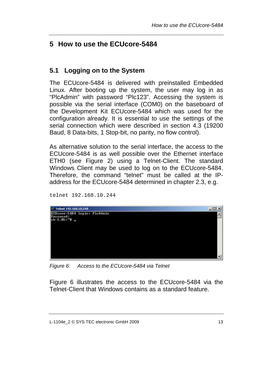# **5 How to use the ECUcore-5484**

#### **5.1 Logging on to the System**

The ECUcore-5484 is delivered with preinstalled Embedded Linux. After booting up the system, the user may log in as "PlcAdmin" with password "Plc123". Accessing the system is possible via the serial interface (COM0) on the baseboard of the Development Kit ECUcore-5484 which was used for the configuration already. It is essential to use the settings of the serial connection which were described in section 4.3 (19200 Baud, 8 Data-bits, 1 Stop-bit, no parity, no flow control).

As alternative solution to the serial interface, the access to the ECUcore-5484 is as well possible over the Ethernet interface ETH0 (see Figure 2) using a Telnet-Client. The standard Windows Client may be used to log on to the ECUcore-5484. Therefore, the command "telnet" must be called at the IPaddress for the ECUcore-5484 determined in chapter 2.3, e.g.

telnet 192.168.10.244



Figure 6: Access to the ECUcore-5484 via Telnet

Figure 6 illustrates the access to the ECUcore-5484 via the Telnet-Client that Windows contains as a standard feature.

L-1104e 2 © SYS TEC electronic GmbH 2009 13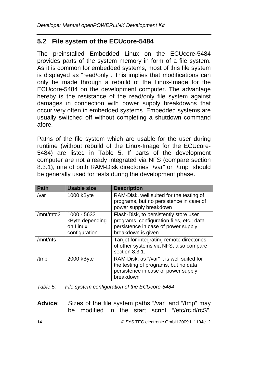#### **5.2 File system of the ECUcore-5484**

The preinstalled Embedded Linux on the ECUcore-5484 provides parts of the system memory in form of a file system. As it is common for embedded systems, most of this file system is displayed as "read/only". This implies that modifications can only be made through a rebuild of the Linux-Image for the ECUcore-5484 on the development computer. The advantage hereby is the resistance of the read/only file system against damages in connection with power supply breakdowns that occur very often in embedded systems. Embedded systems are usually switched off without completing a shutdown command afore.

Paths of the file system which are usable for the user during runtime (without rebuild of the Linux-Image for the ECUcore-5484) are listed in Table 5. If parts of the development computer are not already integrated via NFS (compare section 8.3.1), one of both RAM-Disk directories "/var" or "/tmp" should be generally used for tests during the development phase.

| <b>Path</b>   | <b>Usable size</b>                                          | <b>Description</b>                                                                                                                               |
|---------------|-------------------------------------------------------------|--------------------------------------------------------------------------------------------------------------------------------------------------|
| $/\text{var}$ | 1000 kByte                                                  | RAM-Disk, well suited for the testing of<br>programs, but no persistence in case of<br>power supply breakdown                                    |
| /mnt/mtd3     | 1000 - 5632<br>kByte depending<br>on Linux<br>configuration | Flash-Disk, to persistently store user<br>programs, configuration files, etc.; data<br>persistence in case of power supply<br>breakdown is given |
| /mnt/nfs      |                                                             | Target for integrating remote directories<br>of other systems via NFS, also compare<br>section 8.3.1.                                            |
| /tmp          | 2000 kByte                                                  | RAM-Disk, as "/var" it is well suited for<br>the testing of programs, but no data<br>persistence in case of power supply<br>breakdown            |

Table 5: File system configuration of the ECUcore-5484

**Advice**: Sizes of the file system paths "/var" and "/tmp" may be modified in the start script "/etc/rc.d/rcS".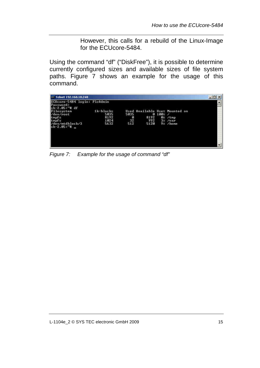However, this calls for a rebuild of the Linux-Image for the ECUcore-5484.

Using the command "df" ("DiskFree"), it is possible to determine currently configured sizes and available sizes of file system paths. Figure 7 shows an example for the usage of this command.

| os Telnet 192.168.10.248                                                                                                                                                |                                           |                        |                     |          |                                                                                | EIEI |
|-------------------------------------------------------------------------------------------------------------------------------------------------------------------------|-------------------------------------------|------------------------|---------------------|----------|--------------------------------------------------------------------------------|------|
| ECUcore-5484 login: PlcAdmin<br>Password:<br>$sh-2.05$ : "# df<br>Filesystem<br>/dev/root<br><b>tmpfs</b><br>tmpfs.<br>/deu/mtdblock/3<br>$\sin^{-2} 0.05 : \text{``#}$ | ik-blocks<br>5035<br>8192<br>1024<br>5632 | 5035<br>ø<br>32<br>512 | 8192<br>992<br>5120 | 0 100% / | Used Available Usez Mounted on<br>$0$ % $\ell$ tmp<br>$32.79a$ r<br>$9z$ /home |      |

Figure 7: Example for the usage of command "df"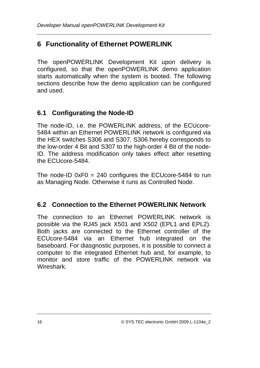# **6 Functionality of Ethernet POWERLINK**

The openPOWERLINK Development Kit upon delivery is configured, so that the openPOWERLINK demo application starts automatically when the system is booted. The following sections describe how the demo application can be configured and used.

## **6.1 Configurating the Node-ID**

The node-ID, i.e. the POWERLINK address, of the ECUcore-5484 within an Ethernet POWERLINK network is configured via the HEX switches S306 and S307. S306 hereby corresponds to the low-order 4 Bit and S307 to the high-order 4 Bit of the node-ID. The address modification only takes effect after resetting the FCUcore-5484

The node-ID 0xF0 = 240 configures the ECUcore-5484 to run as Managing Node. Otherwise it runs as Controlled Node.

#### **6.2 Connection to the Ethernet POWERLINK Network**

The connection to an Ethernet POWERLINK network is possible via the RJ45 jack X501 and X502 (EPL1 and EPL2). Both jacks are connected to the Ethernet controller of the ECUcore-5484 via an Ethernet hub integrated on the baseboard. For diasgnostic purposes, it is possible to connect a computer to the integrated Ethernet hub and, for example, to monitor and store traffic of the POWERLINK network via **Wireshark**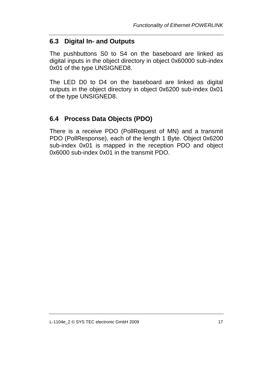#### **6.3 Digital In- and Outputs**

The pushbuttons S0 to S4 on the baseboard are linked as digital inputs in the object directory in object 0x60000 sub-index 0x01 of the type UNSIGNED8.

The LED D0 to D4 on the baseboard are linked as digital outputs in the object directory in object 0x6200 sub-index 0x01 of the type UNSIGNED8.

#### **6.4 Process Data Objects (PDO)**

There is a receive PDO (PollRequest of MN) and a transmit PDO (PollResponse), each of the length 1 Byte. Object 0x6200 sub-index 0x01 is mapped in the reception PDO and object 0x6000 sub-index 0x01 in the transmit PDO.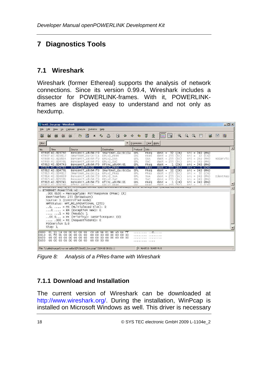# **7 Diagnostics Tools**

## **7.1 Wireshark**

Wireshark (former Ethereal) supports the analysis of network connections. Since its version 0.99.4, Wireshark includes a dissector for POWERLINK-frames. With it, POWERLINKframes are displayed easy to understand and not only as hexdump.

| I test5 2cn.pcap - Wireshark                                                                                   |                                                                                                                                                                                                                                                                                                                                                               |                                                                                            |                                                                                       |                                                                                                                                                                    |                                                                                                                                                                                | $  $ $\Box$   $\times$ |
|----------------------------------------------------------------------------------------------------------------|---------------------------------------------------------------------------------------------------------------------------------------------------------------------------------------------------------------------------------------------------------------------------------------------------------------------------------------------------------------|--------------------------------------------------------------------------------------------|---------------------------------------------------------------------------------------|--------------------------------------------------------------------------------------------------------------------------------------------------------------------|--------------------------------------------------------------------------------------------------------------------------------------------------------------------------------|------------------------|
| Edit<br>File<br>View<br>E,<br>圖<br><b>Gal</b>                                                                  | Statistics<br>Go Capture Analyze<br>K<br>$\triangleright$<br>$\boldsymbol{\mathsf{x}}$                                                                                                                                                                                                                                                                        | Help<br>$\mathcal{C}_\partial$<br>নি<br>凸<br>⇨<br>⇦                                        | 春<br>₹<br>₿                                                                           | $\overline{\mathbf{r}}$<br>$\mathcal{O}_k$<br>È                                                                                                                    | $\Theta$<br>$\Omega_{\rm{c}}$<br>恒<br><b>M</b>                                                                                                                                 | ĸ<br>围                 |
| Clear   Apply<br>Filter:<br>Expression                                                                         |                                                                                                                                                                                                                                                                                                                                                               |                                                                                            |                                                                                       |                                                                                                                                                                    |                                                                                                                                                                                |                        |
| No.<br>Time                                                                                                    | Source                                                                                                                                                                                                                                                                                                                                                        | Destination                                                                                | Info.<br>Protocol                                                                     |                                                                                                                                                                    |                                                                                                                                                                                |                        |
| 65906 42.819792<br>65907 42.819812<br>65908 42.819834<br>65909 42.824591<br>65910 42.824740<br>6591 42,824785  | BencentT_a8:64: +0<br>SmartNet_Oa:Oc:la<br>BencentT a8:64:F0<br>BencentT_a8:64:f0<br>BencentT a8:64:F0<br>Rttnc a8:64:01                                                                                                                                                                                                                                      | SmartNet Oa:Oc:la<br>EPLV2 PRes<br>EPLV2 SOA<br>EPLV2 SOC<br>Rftnc a8:64:01<br>EPLV2 PRes  | EPL<br>PReg<br>EPL<br>PRes<br>EPL<br>SOA<br>EPL<br>SOC<br>EPL<br>PReg<br>EPL<br>PRes  | (CN)<br>dest =<br>32<br>$dest = 255$<br>(bc)<br>255<br>(bc)<br>$dest =$<br>$dest = 255$<br>(b<)<br>$dest =$<br>$1$ (CN)<br>$dest = 255$<br>The 1                   | (MN)<br>$src =$<br>240<br>32<br>STC<br>$\equiv$<br>(CN)<br>240<br><b>CMN3</b><br>SP C<br>$\equiv$<br>$src = 240$<br><b>EMN3</b><br>$src = 240$ (MN)<br><b>TCN</b> )<br>$src =$ | Noservic               |
| 65912 42.824791<br>65913 42.824812<br>65914 42,824839<br>65915 42.829591<br>65916 42.829741<br>65012 12 820786 | BencentT_a8:64:f0<br>SmartNet Oa:Oc:la<br>BencentT_a8:64:f0<br>BencentT a8:64:f0<br>BencentT_a8:64:f0<br>pftnr sR.64.01                                                                                                                                                                                                                                       | SmartNet_0a:0c:1a<br>EPLV2 PRes<br>EPLV2 SOA<br>EPLV2 50G<br>Rftnc a8:64:01<br>DOI: 2 DOAC | EPL<br>PRed<br>EPL.<br>PRes<br>EPL<br>SOA<br>EPL<br>Soc<br>EPL<br>PRed<br>COL<br>DDBc | 32 (CN)<br>$dest =$<br>$dest = 255$<br>(b <sub>c</sub> )<br>$dest =$<br>255<br>(bc)<br>$dest = 255$<br>(bc)<br>$dest =$<br>ı.<br>(CN)<br>つくぐ<br>NOST<br>$6.15 - 1$ | $src = 240$ $(MN)$<br>32<br>ST C<br>$\equiv$<br>ICNI<br>$= 240$<br>(MN)<br>snc<br>$= 240$<br>(MN)<br>SI'C<br>$src = 240$ (MN)<br>$-11$<br><b>CCND</b><br>CHC.                  | IdentRegi              |
| FETHERNET Powerlink v2<br>PDOVersion 0.0<br>Size: 1                                                            | $.000$ 0100 = MessageType: PollResponse (PRes) (4)<br>Destination: 255 (broadcast)<br>Source: 1 (Controlled Node)<br>NMTStatus: NMT_MS_OPERATIONAL (253)<br>$\ldots$ 0.  = MS (Multiplexed slot): 0<br>$\ldots$ 0  = EN (Exception New): 0<br>1 = RD (Ready): 1<br>$\ldots$ 00 0 = PR (Priority): GenericRequest (0)<br>$\ldots$ .000 = RS (RequestToSend): 0 |                                                                                            |                                                                                       |                                                                                                                                                                    | --                                                                                                                                                                             |                        |
| 0000<br>01, 11<br>0010<br>0020<br>0030                                                                         | 1e 00 00 02 00 03<br>$C0$ $a8$ $64$<br>01 fd 01 00 00 00 01 00<br>00 00 00 00 00 00 00 00<br>00 00 00 00 00 00 00 00<br>00 00 00 00                                                                                                                                                                                                                           | 01<br>88 ab 04 ff<br>00 00 00 00 00 00<br>00 00<br>00 00 00 00 00 00 00 00                 |                                                                                       | ունուսու                                                                                                                                                           |                                                                                                                                                                                |                        |
|                                                                                                                | File: "L:\alle\Krueger\Ivon mir selbst\EPL\test5_2cn.pcap" 7284 KB 00:01:11                                                                                                                                                                                                                                                                                   |                                                                                            | P: 96485 D: 96485 M: 0                                                                |                                                                                                                                                                    |                                                                                                                                                                                |                        |

Figure 8: Analysis of a PRes-frame with Wireshark

#### **7.1.1 Download and Installation**

The current version of Wireshark can be downloaded at http://www.wireshark.org/. During the installation, WinPcap is installed on Microsoft Windows as well. This driver is necessary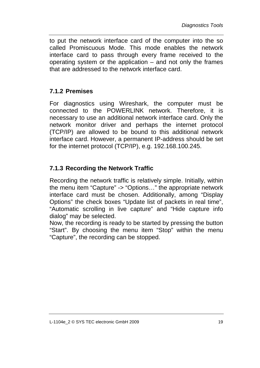to put the network interface card of the computer into the so called Promiscuous Mode. This mode enables the network interface card to pass through every frame received to the operating system or the application – and not only the frames that are addressed to the network interface card.

#### **7.1.2 Premises**

For diagnostics using Wireshark, the computer must be connected to the POWERLINK network. Therefore, it is necessary to use an additional network interface card. Only the network monitor driver and perhaps the internet protocol (TCP/IP) are allowed to be bound to this additional network interface card. However, a permanent IP-address should be set for the internet protocol (TCP/IP), e.g. 192.168.100.245.

#### **7.1.3 Recording the Network Traffic**

Recording the network traffic is relatively simple. Initially, within the menu item "Capture" -> "Options…" the appropriate network interface card must be chosen. Additionally, among "Display Options" the check boxes "Update list of packets in real time", "Automatic scrolling in live capture" and "Hide capture info dialog" may be selected.

Now, the recording is ready to be started by pressing the button "Start". By choosing the menu item "Stop" within the menu "Capture", the recording can be stopped.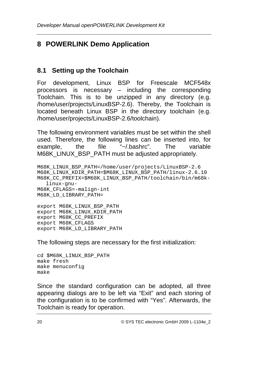# **8 POWERLINK Demo Application**

## **8.1 Setting up the Toolchain**

For development, Linux BSP for Freescale MCF548x processors is necessary – including the corresponding Toolchain. This is to be unzipped in any directory (e.g. /home/user/projects/LinuxBSP-2.6). Thereby, the Toolchain is located beneath Linux BSP in the directory toolchain (e.g. /home/user/projects/LinuxBSP-2.6/toolchain).

The following environment variables must be set within the shell used. Therefore, the following lines can be inserted into, for example, the file "~/.bashrc". The variable M68K LINUX BSP PATH must be adjusted appropriately.

```
M68K_LINUX_BSP_PATH=/home/user/projects/LinuxBSP-2.6 
M68K_LINUX_KDIR_PATH=$M68K_LINUX_BSP_PATH/linux-2.6.10 
M68K_CC_PREFIX=$M68K_LINUX_BSP_PATH/toolchain/bin/m68k-
   linux-gnu-
M68K_CFLAGS=-malign-int 
M68K_LD_LIBRARY_PATH=
```
export M68K\_LINUX\_BSP\_PATH export M68K\_LINUX\_KDIR\_PATH export M68K\_CC\_PREFIX export M68K\_CFLAGS export M68K\_LD\_LIBRARY\_PATH

The following steps are necessary for the first initialization:

```
cd $M68K_LINUX_BSP_PATH 
make fresh 
make menuconfig 
make
```
Since the standard configuration can be adopted, all three appearing dialogs are to be left via "Exit" and each storing of the configuration is to be confirmed with "Yes". Afterwards, the Toolchain is ready for operation.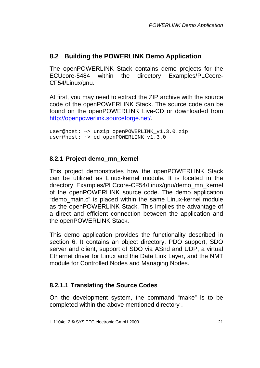## **8.2 Building the POWERLINK Demo Application**

The openPOWERLINK Stack contains demo projects for the ECUcore-5484 within the directory Examples/PLCcore-CF54/Linux/gnu.

At first, you may need to extract the ZIP archive with the source code of the openPOWERLINK Stack. The source code can be found on the openPOWERLINK Live-CD or downloaded from http://openpowerlink.sourceforge.net/.

user@host: ~> unzip openPOWERLINK\_v1.3.0.zip user@host: ~> cd openPOWERLINK v1.3.0

#### **8.2.1 Project demo\_mn\_kernel**

This project demonstrates how the openPOWERLINK Stack can be utilized as Linux-kernel module. It is located in the directory Examples/PLCcore-CF54/Linux/gnu/demo\_mn\_kernel of the openPOWERLINK source code. The demo application "demo\_main.c" is placed within the same Linux-kernel module as the openPOWERLINK Stack. This implies the advantage of a direct and efficient connection between the application and the openPOWERLINK Stack.

This demo application provides the functionality described in section 6. It contains an object directory, PDO support, SDO server and client, support of SDO via ASnd and UDP, a virtual Ethernet driver for Linux and the Data Link Layer, and the NMT module for Controlled Nodes and Managing Nodes.

#### **8.2.1.1 Translating the Source Codes**

On the development system, the command "make" is to be completed within the above mentioned directory .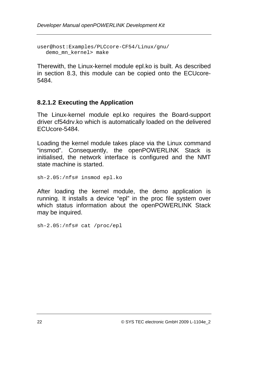```
user@host:Examples/PLCcore-CF54/Linux/gnu/ 
  demo_mn_kernel> make
```
Therewith, the Linux-kernel module epl.ko is built. As described in section 8.3, this module can be copied onto the ECUcore-5484.

#### **8.2.1.2 Executing the Application**

The Linux-kernel module epl.ko requires the Board-support driver cf54drv.ko which is automatically loaded on the delivered ECUcore-5484.

Loading the kernel module takes place via the Linux command "insmod". Consequently, the openPOWERLINK Stack is initialised, the network interface is configured and the NMT state machine is started.

sh-2.05:/nfs# insmod epl.ko

After loading the kernel module, the demo application is running. It installs a device "epl" in the proc file system over which status information about the openPOWERLINK Stack may be inquired.

sh-2.05:/nfs# cat /proc/epl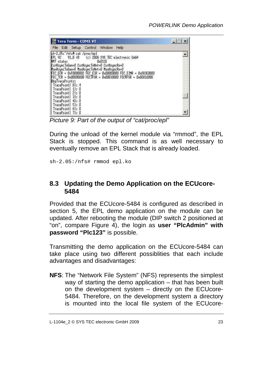| Tera Term - COM1 VT                                                                                                                                                                                                                                                                                                                                            |  |
|----------------------------------------------------------------------------------------------------------------------------------------------------------------------------------------------------------------------------------------------------------------------------------------------------------------------------------------------------------------|--|
| Window<br>Help<br>Edit<br>Setup Control<br>File                                                                                                                                                                                                                                                                                                                |  |
| kh-2.05:"/nfs# cat /proc/epl<br>EPL V2<br>V1.0 r0 (c) 2006 SYS TEC electronic GmbH<br>NHT state:<br>0x011F<br>CurfisyncTxGen=0 CurfisyncTxNnt=0 CurfisyncRx=0<br>MaxAsyncTxGen=0 MaxAsyncTxNnt=0 MaxAsyncRx=0<br>$\textsf{FEC}$ tcr = 0x00000000 fectfsr = 0x00030000 fecrfsr = 0x00010000<br><b>BbgTracePoints:</b><br>TracePoint[ 0]: 4<br>TracePoint[ 1]: 0 |  |
| TracePoint[ 2]: D<br>TracePoint[ 3]: 0<br>TracePoint[ 4]: D<br>TracePoint[ 5]: 0<br>TracePoint[ 6]: D<br>TracePoint[ 7]: 0                                                                                                                                                                                                                                     |  |

Picture 9: Part of the output of "cat/proc/epl"

During the unload of the kernel module via "rmmod", the EPL Stack is stopped. This command is as well necessary to eventually remove an EPL Stack that is already loaded.

sh-2.05:/nfs# rmmod epl.ko

#### **8.3 Updating the Demo Application on the ECUcore-5484**

Provided that the ECUcore-5484 is configured as described in section 5, the EPL demo application on the module can be updated. After rebooting the module (DIP switch 2 positioned at "on", compare Figure 4), the login as **user "PlcAdmin" with password "Plc123"** is possible.

Transmitting the demo application on the ECUcore-5484 can take place using two different possiblities that each include advantages and disadvantages:

**NFS**: The "Network File System" (NFS) represents the simplest way of starting the demo application – that has been built on the development system – directly on the ECUcore-5484. Therefore, on the development system a directory is mounted into the local file system of the ECUcore-

L-1104e 2 © SYS TEC electronic GmbH 2009 23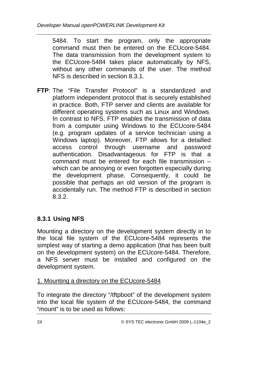5484. To start the program, only the appropriate command must then be entered on the ECUcore-5484. The data transmission from the development system to the ECUcore-5484 takes place automatically by NFS, without any other commands of the user. The method NFS is described in section 8.3.1.

**FTP**: The "File Transfer Protocol" is a standardized and platform independent protocol that is securely established in practice. Both, FTP server and clients are available for different operating systems such as Linux and Windows. In contrast to NFS, FTP enables the transmission of data from a computer using Windows to the ECUcore-5484 (e.g. program updates of a service technician using a Windows laptop). Moreover, FTP allows for a detailled access control through username and password authentication. Disadvantageous for FTP is that a command must be entered for each file transmission – which can be annoying or even forgotten especially during the development phase. Consequently, it could be possible that perhaps an old version of the program is accidentally run. The method FTP is described in section 8.3.2.

## **8.3.1 Using NFS**

Mounting a directory on the development system directly in to the local file system of the ECUcore-5484 represents the simplest way of starting a demo application (that has been built on the development system) on the ECUcore-5484. Therefore, a NFS server must be installed and configured on the development system.

#### 1. Mounting a directory on the ECUcore-5484

To integrate the directory "/tftpboot" of the development system into the local file system of the ECUcore-5484, the command "mount" is to be used as follows: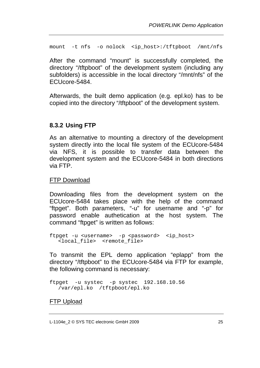mount -t nfs -o nolock <ip\_host>:/tftpboot /mnt/nfs

After the command "mount" is successfully completed, the directory "/tftpboot" of the development system (including any subfolders) is accessible in the local directory "/mnt/nfs" of the ECU<sub>core-5484</sub>

Afterwards, the built demo application (e.g. epl.ko) has to be copied into the directory "/tftpboot" of the development system.

#### **8.3.2 Using FTP**

As an alternative to mounting a directory of the development system directly into the local file system of the ECUcore-5484 via NFS, it is possible to transfer data between the development system and the ECUcore-5484 in both directions via FTP.

FTP Download

Downloading files from the development system on the ECUcore-5484 takes place with the help of the command "ftpget". Both parameters, "-u" for username and "-p" for password enable authetication at the host system. The command "ftpget" is written as follows:

```
ftpget -u <username> -p <password> <ip_host> 
  <local_file> <remote_file>
```
To transmit the EPL demo application "eplapp" from the directory "/tftpboot" to the ECUcore-5484 via FTP for example, the following command is necessary:

```
ftpget -u systec -p systec 192.168.10.56 
  /var/epl.ko /tftpboot/epl.ko
```
#### FTP Upload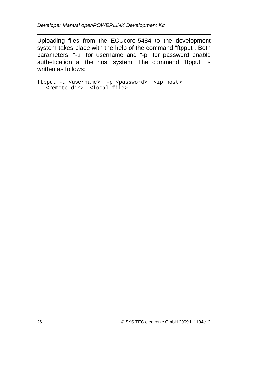Uploading files from the ECUcore-5484 to the development system takes place with the help of the command "ftpput". Both parameters, "-u" for username and "-p" for password enable authetication at the host system. The command "ftpput" is written as follows:

ftpput -u <username> -p <password> <ip\_host> <remote\_dir> <local\_file>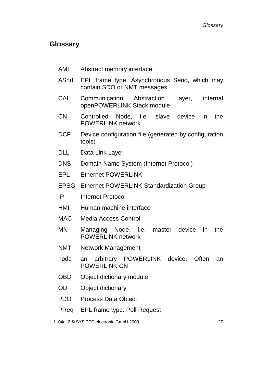#### **Glossary**

- AMI Abstract memory interface
- ASnd EPL frame type: Asynchronous Send, which may contain SDO or NMT messages
- CAL Communication Abstraction Layer, internal openPOWERLINK Stack module
- CN Controlled Node, i.e. slave device in the POWERLINK network
- DCF Device configuration file (generated by configuration tools)
- DLL Data Link Layer
- DNS Domain Name System (Internet Protocol)
- EPL Ethernet POWERLINK
- EPSG Ethernet POWERLINK Standardization Group
- IP Internet Protocol
- HMI Human machine interface
- MAC Media Access Control
- MN Managing Node, i.e. master device in the POWERLINK network
- NMT Network Management
- node an arbitrary POWERLINK device. Often an POWERLINK CN
- OBD Object dictionary module
- OD Object dictionary
- PDO Process Data Object
- PReq EPL frame type: Poll Request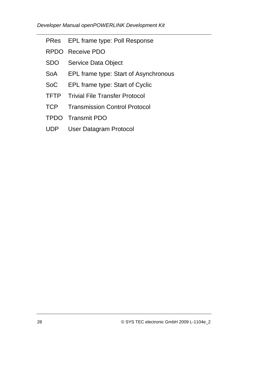- PRes EPL frame type: Poll Response
- RPDO Receive PDO
- SDO Service Data Object
- SoA EPL frame type: Start of Asynchronous
- SoC EPL frame type: Start of Cyclic
- TFTP Trivial File Transfer Protocol
- TCP Transmission Control Protocol
- TPDO Transmit PDO
- UDP User Datagram Protocol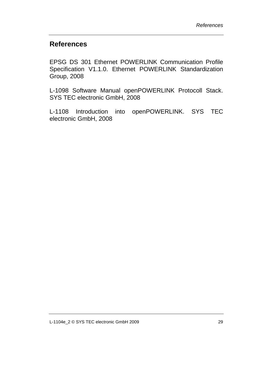#### **References**

EPSG DS 301 Ethernet POWERLINK Communication Profile Specification V1.1.0. Ethernet POWERLINK Standardization Group, 2008

L-1098 Software Manual openPOWERLINK Protocoll Stack. SYS TEC electronic GmbH, 2008

L-1108 Introduction into openPOWERLINK. SYS TEC electronic GmbH, 2008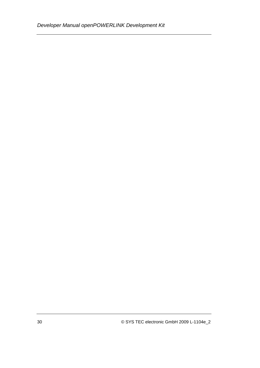30 © SYS TEC electronic GmbH 2009 L-1104e\_2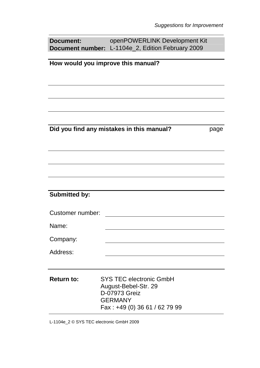| <b>Document:</b>        | openPOWERLINK Development Kit                                                                                                     |  |  |  |  |  |
|-------------------------|-----------------------------------------------------------------------------------------------------------------------------------|--|--|--|--|--|
|                         | Document number: L-1104e_2, Edition February 2009                                                                                 |  |  |  |  |  |
|                         | How would you improve this manual?                                                                                                |  |  |  |  |  |
|                         |                                                                                                                                   |  |  |  |  |  |
|                         |                                                                                                                                   |  |  |  |  |  |
|                         |                                                                                                                                   |  |  |  |  |  |
|                         | Did you find any mistakes in this manual?<br>page                                                                                 |  |  |  |  |  |
|                         |                                                                                                                                   |  |  |  |  |  |
|                         |                                                                                                                                   |  |  |  |  |  |
|                         |                                                                                                                                   |  |  |  |  |  |
|                         |                                                                                                                                   |  |  |  |  |  |
| <b>Submitted by:</b>    |                                                                                                                                   |  |  |  |  |  |
| <b>Customer number:</b> |                                                                                                                                   |  |  |  |  |  |
| Name:                   |                                                                                                                                   |  |  |  |  |  |
| Company:                |                                                                                                                                   |  |  |  |  |  |
| Address:                |                                                                                                                                   |  |  |  |  |  |
|                         |                                                                                                                                   |  |  |  |  |  |
| <b>Return to:</b>       | <b>SYS TEC electronic GmbH</b><br>August-Bebel-Str. 29<br><b>D-07973 Greiz</b><br><b>GERMANY</b><br>Fax: +49 (0) 36 61 / 62 79 99 |  |  |  |  |  |

L-1104e\_2 © SYS TEC electronic GmbH 2009